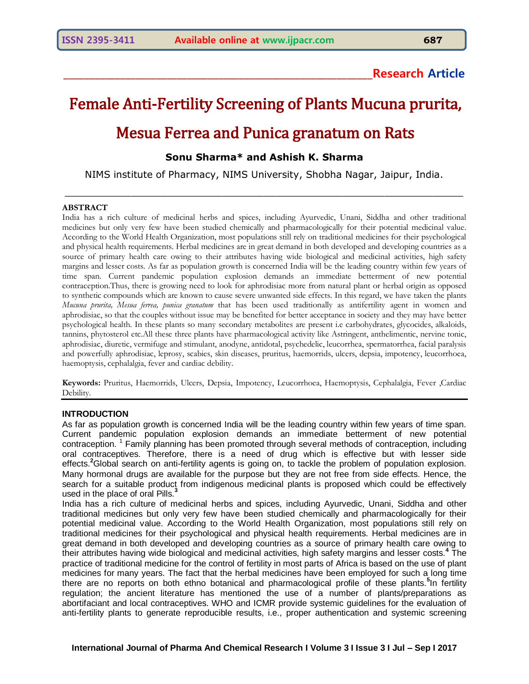# **\_\_\_\_\_\_\_\_\_\_\_\_\_\_\_\_\_\_\_\_\_\_\_\_\_\_\_\_\_\_\_\_\_\_\_\_\_\_\_\_\_\_\_\_\_\_\_\_\_\_\_\_\_\_\_\_\_\_\_\_Research Article**

# Female Anti-Fertility Screening of Plants Mucuna prurita, Mesua Ferrea and Punica granatum on Rats

# **Sonu Sharma\* and Ashish K. Sharma**

NIMS institute of Pharmacy, NIMS University, Shobha Nagar, Jaipur, India.

 $\mathcal{L}_\mathcal{L}$  , and the contribution of the contribution of the contribution of the contribution of the contribution of the contribution of the contribution of the contribution of the contribution of the contribution of

#### **ABSTRACT**

India has a rich culture of medicinal herbs and spices, including Ayurvedic, Unani, Siddha and other traditional medicines but only very few have been studied chemically and pharmacologically for their potential medicinal value. According to the World Health Organization, most populations still rely on traditional medicines for their psychological and physical health requirements. Herbal medicines are in great demand in both developed and developing countries as a source of primary health care owing to their attributes having wide biological and medicinal activities, high safety margins and lesser costs. As far as population growth is concerned India will be the leading country within few years of time span. Current pandemic population explosion demands an immediate betterment of new potential contraception.Thus, there is growing need to look for aphrodisiac more from natural plant or herbal origin as opposed to synthetic compounds which are known to cause severe unwanted side effects. In this regard, we have taken the plants *Mucuna prurita, Mesua ferrea, punica granatum* that has been used traditionally as antifertility agent in women and aphrodisiac, so that the couples without issue may be benefited for better acceptance in society and they may have better psychological health. In these plants so many secondary metabolites are present i.e carbohydrates, glycocides, alkaloids, tannins, phytosterol etc.All these three plants have pharmacological activity like Astringent, anthelimentic, nervine tonic, aphrodisiac, diuretic, vermifuge and stimulant, anodyne, antidotal, psychedelic, leucorrhea, spermatorrhea, facial paralysis and powerfully aphrodisiac, leprosy, scabies, skin diseases, pruritus, haemorrids, ulcers, depsia, impotency, leucorrhoea, haemoptysis, cephalalgia, fever and cardiac debility.

**Keywords:** Pruritus, Haemorrids, Ulcers, Depsia, Impotency, Leucorrhoea, Haemoptysis, Cephalalgia, Fever ,Cardiac Debility.

#### **INTRODUCTION**

As far as population growth is concerned India will be the leading country within few years of time span. Current pandemic population explosion demands an immediate betterment of new potential contraception.<sup>1</sup> Family planning has been promoted through several methods of contraception, including oral contraceptives. Therefore, there is a need of drug which is effective but with lesser side effects.**<sup>2</sup>**Global search on anti-fertility agents is going on, to tackle the problem of population explosion. Many hormonal drugs are available for the purpose but they are not free from side effects. Hence, the search for a suitable product from indigenous medicinal plants is proposed which could be effectively used in the place of oral Pills.<sup>3</sup>

India has a rich culture of medicinal herbs and spices, including Ayurvedic, Unani, Siddha and other traditional medicines but only very few have been studied chemically and pharmacologically for their potential medicinal value. According to the World Health Organization, most populations still rely on traditional medicines for their psychological and physical health requirements. Herbal medicines are in great demand in both developed and developing countries as a source of primary health care owing to their attributes having wide biological and medicinal activities, high safety margins and lesser costs.**<sup>4</sup>** The practice of traditional medicine for the control of fertility in most parts of Africa is based on the use of plant medicines for many years. The fact that the herbal medicines have been employed for such a long time there are no reports on both ethno botanical and pharmacological profile of these plants.**<sup>5</sup>** In fertility regulation; the ancient literature has mentioned the use of a number of plants/preparations as abortifaciant and local contraceptives. WHO and ICMR provide systemic guidelines for the evaluation of anti-fertility plants to generate reproducible results, i.e., proper authentication and systemic screening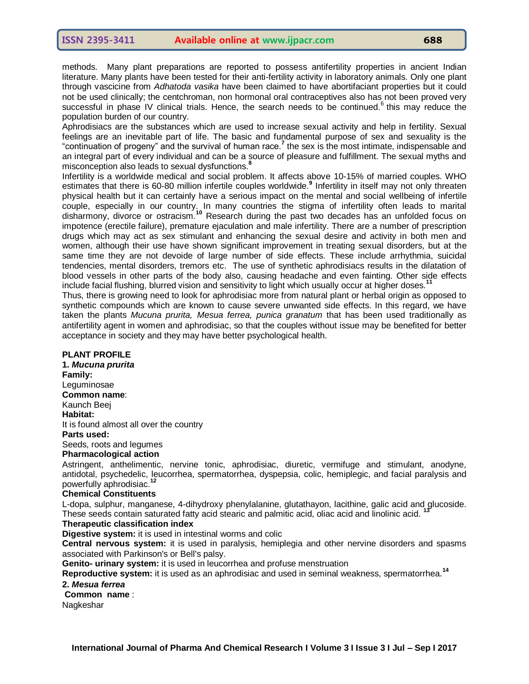methods. Many plant preparations are reported to possess antifertility properties in ancient Indian literature. Many plants have been tested for their anti-fertility activity in laboratory animals. Only one plant through vascicine from *Adhatoda vasika* have been claimed to have abortifaciant properties but it could not be used clinically; the centchroman, non hormonal oral contraceptives also has not been proved very successful in phase IV clinical trials. Hence, the search needs to be continued.<sup>6</sup> this may reduce the population burden of our country.

Aphrodisiacs are the substances which are used to increase sexual activity and help in fertility. Sexual feelings are an inevitable part of life. The basic and fundamental purpose of sex and sexuality is the "continuation of progeny" and the survival of human race.<sup>7</sup> the sex is the most intimate, indispensable and an integral part of every individual and can be a source of pleasure and fulfillment. The sexual myths and misconception also leads to sexual dysfunctions.<sup>8</sup>

Infertility is a worldwide medical and social problem. It affects above 10-15% of married couples. WHO estimates that there is 60-80 million infertile couples worldwide.**<sup>9</sup>** Infertility in itself may not only threaten physical health but it can certainly have a serious impact on the mental and social wellbeing of infertile couple, especially in our country. In many countries the stigma of infertility often leads to marital disharmony, divorce or ostracism.**<sup>10</sup>** Research during the past two decades has an unfolded focus on impotence (erectile failure), premature ejaculation and male infertility. There are a number of prescription drugs which may act as sex stimulant and enhancing the sexual desire and activity in both men and women, although their use have shown significant improvement in treating sexual disorders, but at the same time they are not devoide of large number of side effects. These include arrhythmia, suicidal tendencies, mental disorders, tremors etc. The use of synthetic aphrodisiacs results in the dilatation of blood vessels in other parts of the body also, causing headache and even fainting. Other side effects include facial flushing, blurred vision and sensitivity to light which usually occur at higher doses.**<sup>11</sup>**

Thus, there is growing need to look for aphrodisiac more from natural plant or herbal origin as opposed to synthetic compounds which are known to cause severe unwanted side effects. In this regard, we have taken the plants *Mucuna prurita, Mesua ferrea, punica granatum* that has been used traditionally as antifertility agent in women and aphrodisiac, so that the couples without issue may be benefited for better acceptance in society and they may have better psychological health.

## **PLANT PROFILE**

**1.** *Mucuna prurita* **Family:** Leguminosae **Common name**: Kaunch Beej **Habitat:** It is found almost all over the country **Parts used:**  Seeds, roots and legumes **Pharmacological action**

Astringent, anthelimentic, nervine tonic, aphrodisiac, diuretic, vermifuge and stimulant, anodyne, antidotal, psychedelic, leucorrhea, spermatorrhea, dyspepsia, colic, hemiplegic, and facial paralysis and powerfully aphrodisiac.

# **Chemical Constituents**

L-dopa, sulphur, manganese, 4-dihydroxy phenylalanine, glutathayon, lacithine, galic acid and glucoside. These seeds contain saturated fatty acid stearic and palmitic acid, oliac acid and linolinic acid. **<sup>13</sup>**

## **Therapeutic classification index**

**Digestive system:** it is used in intestinal worms and colic

**Central nervous system:** it is used in paralysis, hemiplegia and other nervine disorders and spasms associated with Parkinson's or Bell's palsy.

**Genito- urinary system:** it is used in leucorrhea and profuse menstruation

**Reproductive system:** it is used as an aphrodisiac and used in seminal weakness, spermatorrhea.**<sup>14</sup>**

#### **2.** *Mesua ferrea*

**Common name** :

Nagkeshar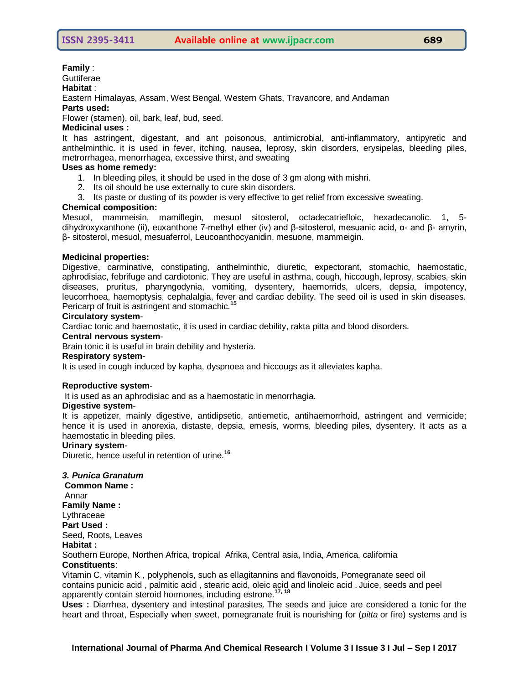#### **Family** :

**Guttiferae** 

#### **Habitat** :

Eastern Himalayas, Assam, West Bengal, Western Ghats, Travancore, and Andaman

#### **Parts used:**

Flower (stamen), oil, bark, leaf, bud, seed.

# **Medicinal uses :**

It has astringent, digestant, and ant poisonous, antimicrobial, anti-inflammatory, antipyretic and anthelminthic. it is used in fever, itching, nausea, leprosy, skin disorders, erysipelas, bleeding piles, metrorrhagea, menorrhagea, excessive thirst, and sweating

## **Uses as home remedy:**

- 1. In bleeding piles, it should be used in the dose of 3 gm along with mishri.
- 2. Its oil should be use externally to cure skin disorders.
- 3. Its paste or dusting of its powder is very effective to get relief from excessive sweating.

# **Chemical composition:**

Mesuol, mammeisin, mamiflegin, mesuol sitosterol, octadecatriefloic, hexadecanolic. 1, 5 dihydroxyxanthone (ii), euxanthone 7-methyl ether (iv) and β-sitosterol, mesuanic acid, α- and β- amyrin, β- sitosterol, mesuol, mesuaferrol, Leucoanthocyanidin, mesuone, mammeigin.

## **Medicinal properties:**

Digestive, carminative, constipating, anthelminthic, diuretic, expectorant, stomachic, haemostatic, aphrodisiac, febrifuge and cardiotonic. They are useful in asthma, cough, hiccough, leprosy, scabies, skin diseases, pruritus, pharyngodynia, vomiting, dysentery, haemorrids, ulcers, depsia, impotency, leucorrhoea, haemoptysis, cephalalgia, fever and cardiac debility. The seed oil is used in skin diseases. Pericarp of fruit is astringent and stomachic.<sup>1</sup>

## **Circulatory system**-

Cardiac tonic and haemostatic, it is used in cardiac debility, rakta pitta and blood disorders.

# **Central nervous system**-

Brain tonic it is useful in brain debility and hysteria.

## **Respiratory system**-

It is used in cough induced by kapha, dyspnoea and hiccougs as it alleviates kapha.

## **Reproductive system**-

It is used as an aphrodisiac and as a haemostatic in menorrhagia.

## **Digestive system**-

It is appetizer, mainly digestive, antidipsetic, antiemetic, antihaemorrhoid, astringent and vermicide; hence it is used in anorexia, distaste, depsia, emesis, worms, bleeding piles, dysentery. It acts as a haemostatic in bleeding piles.

## **Urinary system**-

Diuretic, hence useful in retention of urine.**<sup>16</sup>**

## *3. Punica Granatum*

**Common Name :** Annar **Family Name :**  Lythraceae **Part Used :**  Seed, Roots, Leaves **Habitat :**  Southern Europe, Northen Africa, tropical Afrika, Central asia, India, America, california **Constituents**:

Vitamin C, vitamin K , polyphenols, such as ellagitannins and flavonoids, Pomegranate seed oil contains punicic acid , palmitic acid , stearic acid, oleic acid and linoleic acid . Juice, seeds and peel apparently contain steroid hormones, including estrone.**17, 18**

**Uses :** Diarrhea, dysentery and intestinal parasites. The seeds and juice are considered a tonic for the heart and throat, Especially when sweet, pomegranate fruit is nourishing for (*pitta* or fire) systems and is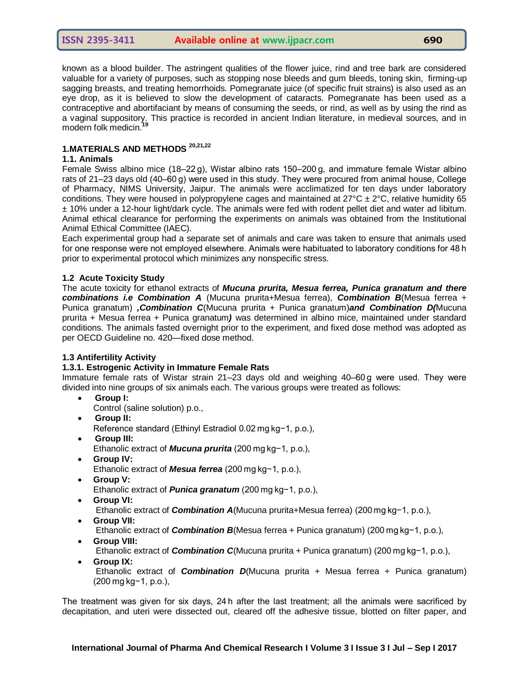known as a blood builder. The astringent qualities of the flower juice, rind and tree bark are considered valuable for a variety of purposes, such as stopping nose bleeds and gum bleeds, toning skin, firming-up sagging breasts, and treating hemorrhoids. Pomegranate juice (of specific fruit strains) is also used as an eye drop, as it is believed to slow the development of cataracts. Pomegranate has been used as a contraceptive and abortifaciant by means of consuming the seeds, or rind, as well as by using the rind as a vaginal suppository. This practice is recorded in ancient Indian literature, in medieval sources, and in modern folk medicin.<sup>1</sup>

# **1.MATERIALS AND METHODS 20,21,22**

#### **1.1. Animals**

Female Swiss albino mice (18–22 g), Wistar albino rats 150–200 g, and immature female Wistar albino rats of 21–23 days old (40–60 g) were used in this study. They were procured from animal house, College of Pharmacy, NIMS University, Jaipur. The animals were acclimatized for ten days under laboratory conditions. They were housed in polypropylene cages and maintained at  $27^{\circ}$ C  $\pm$  2 $^{\circ}$ C, relative humidity 65 ± 10% under a 12-hour light/dark cycle. The animals were fed with rodent pellet diet and water ad libitum. Animal ethical clearance for performing the experiments on animals was obtained from the Institutional Animal Ethical Committee (IAEC).

Each experimental group had a separate set of animals and care was taken to ensure that animals used for one response were not employed elsewhere. Animals were habituated to laboratory conditions for 48 h prior to experimental protocol which minimizes any nonspecific stress.

## **1.2 Acute Toxicity Study**

The acute toxicity for ethanol extracts of *Mucuna prurita, Mesua ferrea, Punica granatum and there combinations i.e Combination A* (Mucuna prurita+Mesua ferrea), *Combination B*(Mesua ferrea + Punica granatum) *,Combination C*(Mucuna prurita + Punica granatum)*and Combination D(*Mucuna prurita + Mesua ferrea + Punica granatum*)* was determined in albino mice, maintained under standard conditions. The animals fasted overnight prior to the experiment, and fixed dose method was adopted as per OECD Guideline no. 420—fixed dose method.

## **1.3 Antifertility Activity**

## **1.3.1. Estrogenic Activity in Immature Female Rats**

Immature female rats of Wistar strain 21–23 days old and weighing 40–60 g were used. They were divided into nine groups of six animals each. The various groups were treated as follows:

- **Group I:**
- Control (saline solution) p.o.,
- **Group II:**
	- Reference standard (Ethinyl Estradiol 0.02 mg kg−1, p.o.),
- **Group III:** Ethanolic extract of *Mucuna prurita* (200 mg kg−1, p.o.),
- **Group IV:**  Ethanolic extract of *Mesua ferrea* (200 mg kg−1, p.o.),
- **Group V:**

Ethanolic extract of *Punica granatum* (200 mg kg−1, p.o.),

**Group VI:**

Ethanolic extract of *Combination A*(Mucuna prurita+Mesua ferrea) (200 mg kg−1, p.o.),

**Group VII:**

Ethanolic extract of *Combination B*(Mesua ferrea + Punica granatum) (200 mg kg−1, p.o.),

**Group VIII:**

Ethanolic extract of *Combination C*(Mucuna prurita + Punica granatum) (200 mg kg−1, p.o.),

**Group IX:**

Ethanolic extract of *Combination D*(Mucuna prurita + Mesua ferrea + Punica granatum) (200 mg kg−1, p.o.),

The treatment was given for six days, 24 h after the last treatment; all the animals were sacrificed by decapitation, and uteri were dissected out, cleared off the adhesive tissue, blotted on filter paper, and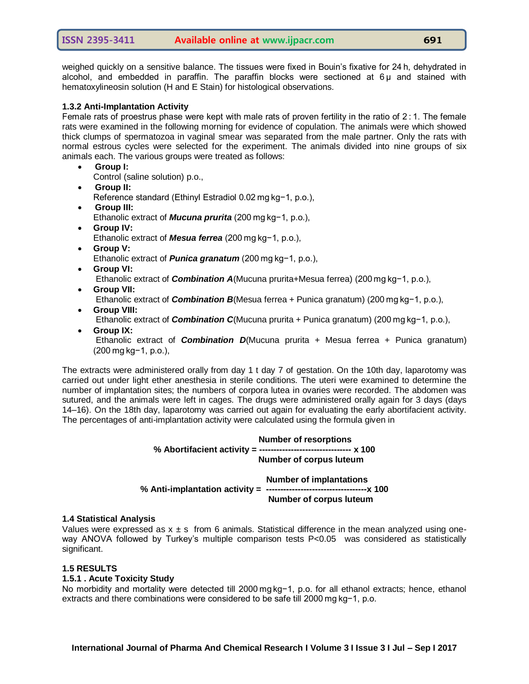weighed quickly on a sensitive balance. The tissues were fixed in Bouin's fixative for 24 h, dehydrated in alcohol, and embedded in paraffin. The paraffin blocks were sectioned at 6 μ and stained with hematoxylineosin solution (H and E Stain) for histological observations.

# **1.3.2 Anti-Implantation Activity**

Female rats of proestrus phase were kept with male rats of proven fertility in the ratio of  $2:1$ . The female rats were examined in the following morning for evidence of copulation. The animals were which showed thick clumps of spermatozoa in vaginal smear was separated from the male partner. Only the rats with normal estrous cycles were selected for the experiment. The animals divided into nine groups of six animals each. The various groups were treated as follows:

- **Group I:**
	- Control (saline solution) p.o.,
- **Group II:** Reference standard (Ethinyl Estradiol 0.02 mg kg−1, p.o.),
- **Group III:** Ethanolic extract of *Mucuna prurita* (200 mg kg−1, p.o.),
- **Group IV:**  Ethanolic extract of *Mesua ferrea* (200 mg kg−1, p.o.),
- **Group V:**  Ethanolic extract of *Punica granatum* (200 mg kg−1, p.o.),
- **Group VI:** Ethanolic extract of *Combination A*(Mucuna prurita+Mesua ferrea) (200 mg kg−1, p.o.),
- **Group VII:**

Ethanolic extract of *Combination B*(Mesua ferrea + Punica granatum) (200 mg kg−1, p.o.),

**Group VIII:**

Ethanolic extract of *Combination C*(Mucuna prurita + Punica granatum) (200 mg kg−1, p.o.),

**Group IX:**

Ethanolic extract of *Combination D*(Mucuna prurita + Mesua ferrea + Punica granatum) (200 mg kg−1, p.o.),

The extracts were administered orally from day 1 t day 7 of gestation. On the 10th day, laparotomy was carried out under light ether anesthesia in sterile conditions. The uteri were examined to determine the number of implantation sites; the numbers of corpora lutea in ovaries were recorded. The abdomen was sutured, and the animals were left in cages. The drugs were administered orally again for 3 days (days 14–16). On the 18th day, laparotomy was carried out again for evaluating the early abortifacient activity. The percentages of anti-implantation activity were calculated using the formula given in

> **Number of resorptions % Abortifacient activity = -------------------------------- x 100 Number of corpus luteum**

 **Number of implantations % Anti-implantation activity = -----------------------------------x 100 Number of corpus luteum**

## **1.4 Statistical Analysis**

Values were expressed as  $x \pm s$  from 6 animals. Statistical difference in the mean analyzed using oneway ANOVA followed by Turkey's multiple comparison tests P<0.05 was considered as statistically significant.

## **1.5 RESULTS**

## **1.5.1 . Acute Toxicity Study**

No morbidity and mortality were detected till 2000 mg kg−1, p.o. for all ethanol extracts; hence, ethanol extracts and there combinations were considered to be safe till 2000 mg kg−1, p.o.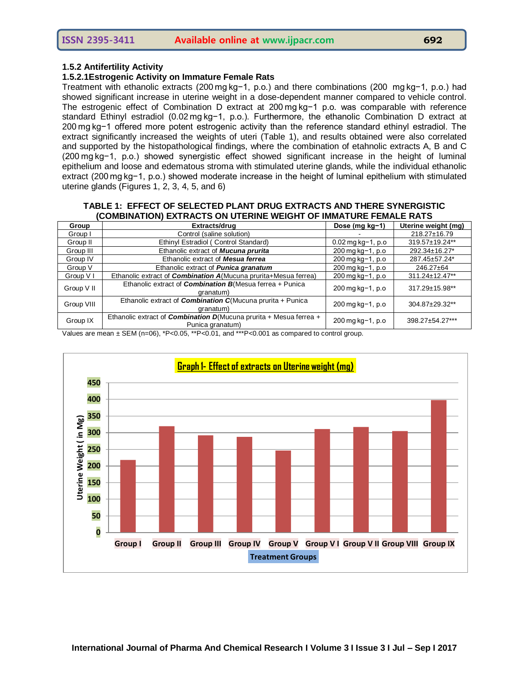#### **1.5.2 Antifertility Activity**

#### **1.5.2.1Estrogenic Activity on Immature Female Rats**

Treatment with ethanolic extracts (200 mg kg−1, p.o.) and there combinations (200  mg kg−1, p.o.) had showed significant increase in uterine weight in a dose-dependent manner compared to vehicle control. The estrogenic effect of Combination D extract at 200 mg kg−1 p.o. was comparable with reference standard Ethinyl estradiol (0.02 mg kg−1, p.o.). Furthermore, the ethanolic Combination D extract at 200 mg kg−1 offered more potent estrogenic activity than the reference standard ethinyl estradiol. The extract significantly increased the weights of uteri (Table 1), and results obtained were also correlated and supported by the histopathological findings, where the combination of etahnolic extracts A, B and C (200 mg kg−1, p.o.) showed synergistic effect showed significant increase in the height of luminal epithelium and loose and edematous stroma with stimulated uterine glands, while the individual ethanolic extract (200 mg kg−1, p.o.) showed moderate increase in the height of luminal epithelium with stimulated uterine glands (Figures 1, 2, 3, 4, 5, and 6)

#### **TABLE 1: EFFECT OF SELECTED PLANT DRUG EXTRACTS AND THERE SYNERGISTIC (COMBINATION) EXTRACTS ON UTERINE WEIGHT OF IMMATURE FEMALE RATS**

| Group      | Extracts/drug                                                                                  | Dose (mg kg-1)                               | Uterine weight (mg) |
|------------|------------------------------------------------------------------------------------------------|----------------------------------------------|---------------------|
| Group I    | Control (saline solution)                                                                      |                                              | 218.27±16.79        |
| Group II   | Ethinyl Estradiol (Control Standard)                                                           | 0.02 mg kg-1, p.o                            | 319.57±19.24**      |
| Group III  | Ethanolic extract of Mucuna prurita                                                            | $200 \,\mathrm{mg} \,\mathrm{kg} - 1$ , p.o. | 292.34±16.27*       |
| Group IV   | Ethanolic extract of Mesua ferrea                                                              | 200 mg kg-1, p.o                             | 287.45±57.24*       |
| Group V    | Ethanolic extract of <i>Punica granatum</i>                                                    | $200 \,\mathrm{mg} \,\mathrm{kg} - 1$ , p.o. | 246.27±64           |
| Group V I  | Ethanolic extract of <i>Combination A</i> (Mucuna prurita+Mesua ferrea)                        | 200 mg kg-1, p.o                             | 311.24±12.47**      |
| Group V II | Ethanolic extract of <i>Combination B</i> (Mesua ferrea + Punica<br>granatum)                  | $200 \,\mathrm{mg}$ kg - 1, p.o.             | 317.29±15.98**      |
| Group VIII | Ethanolic extract of <i>Combination C</i> (Mucuna prurita + Punica<br>granatum)                | 200 mg kg-1, p.o.                            | 304.87±29.32**      |
| Group IX   | Ethanolic extract of <i>Combination D</i> (Mucuna prurita + Mesua ferrea +<br>Punica granatum) | 200 mg kg-1, p.o                             | 398.27±54.27***     |

Values are mean  $\pm$  SEM (n=06), \*P<0.05, \*\*P<0.01, and \*\*\*P<0.001 as compared to control group.

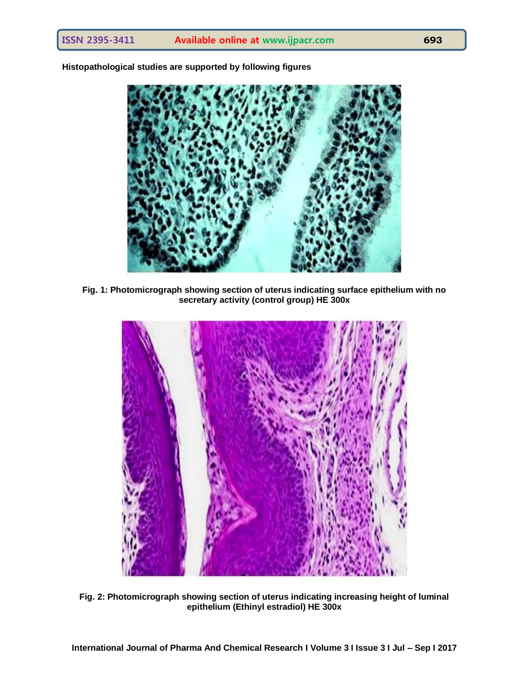

**Histopathological studies are supported by following figures**

**Fig. 1: Photomicrograph showing section of uterus indicating surface epithelium with no secretary activity (control group) HE 300x**



**Fig. 2: Photomicrograph showing section of uterus indicating increasing height of luminal epithelium (Ethinyl estradiol) HE 300x**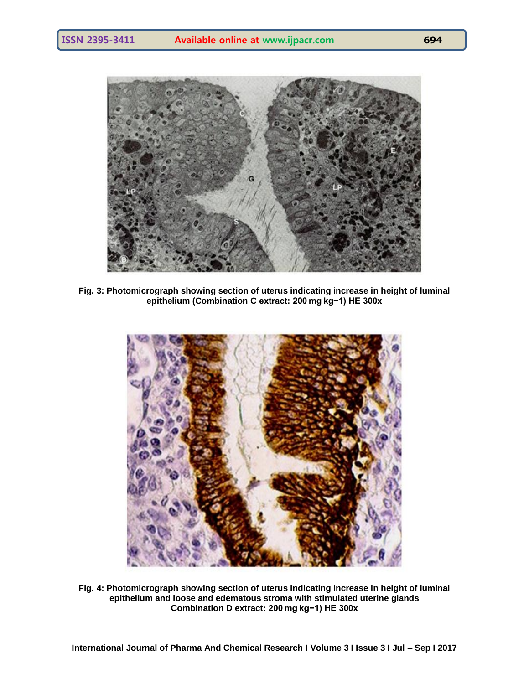

**Fig. 3: Photomicrograph showing section of uterus indicating increase in height of luminal epithelium (Combination C extract: 200 mg kg−1) HE 300x**



**Fig. 4: Photomicrograph showing section of uterus indicating increase in height of luminal epithelium and loose and edematous stroma with stimulated uterine glands Combination D extract: 200 mg kg−1) HE 300x**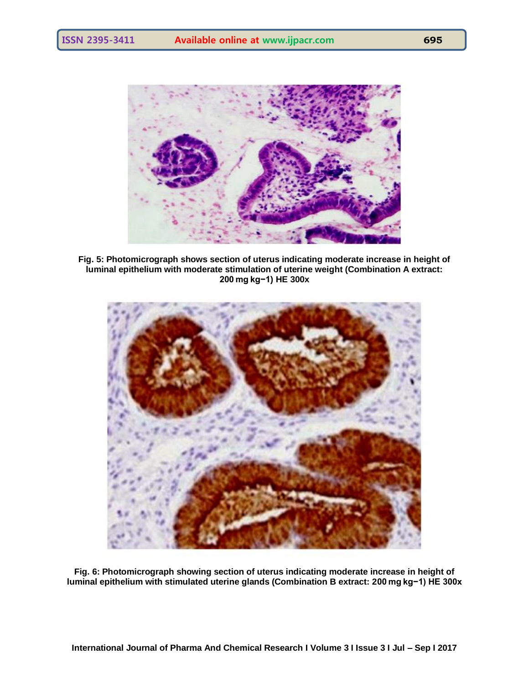

**Fig. 5: Photomicrograph shows section of uterus indicating moderate increase in height of luminal epithelium with moderate stimulation of uterine weight (Combination A extract: 200 mg kg−1) HE 300x**



**Fig. 6: Photomicrograph showing section of uterus indicating moderate increase in height of luminal epithelium with stimulated uterine glands (Combination B extract: 200 mg kg−1) HE 300x**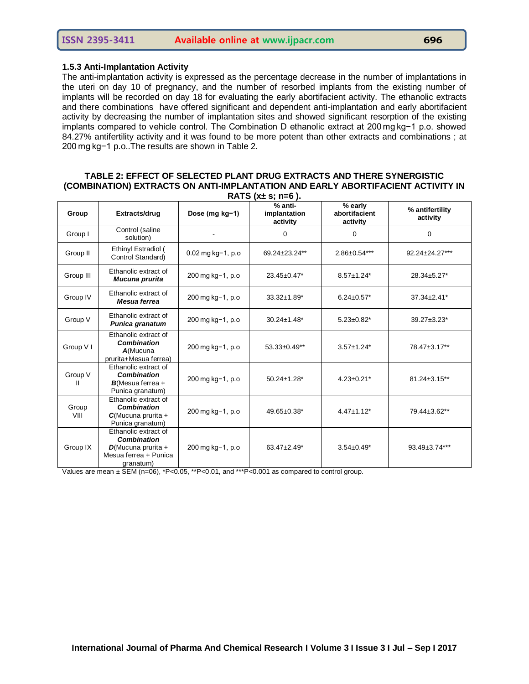#### **1.5.3 Anti-Implantation Activity**

The anti-implantation activity is expressed as the percentage decrease in the number of implantations in the uteri on day 10 of pregnancy, and the number of resorbed implants from the existing number of implants will be recorded on day 18 for evaluating the early abortifacient activity. The ethanolic extracts and there combinations have offered significant and dependent anti-implantation and early abortifacient activity by decreasing the number of implantation sites and showed significant resorption of the existing implants compared to vehicle control. The Combination D ethanolic extract at 200 mg kg−1 p.o. showed 84.27% antifertility activity and it was found to be more potent than other extracts and combinations ; at 200 mg kg−1 p.o..The results are shown in Table 2.

#### **TABLE 2: EFFECT OF SELECTED PLANT DRUG EXTRACTS AND THERE SYNERGISTIC (COMBINATION) EXTRACTS ON ANTI-IMPLANTATION AND EARLY ABORTIFACIENT ACTIVITY IN RATS (x± s; n=6 ).**

| Group         | Extracts/drug                                                                                             | Dose (mg kg-1)                 | % anti-<br>implantation<br>activity | % early<br>abortifacient<br>activity | % antifertility<br>activity |
|---------------|-----------------------------------------------------------------------------------------------------------|--------------------------------|-------------------------------------|--------------------------------------|-----------------------------|
| Group I       | Control (saline<br>solution)                                                                              |                                | 0                                   | 0                                    | 0                           |
| Group II      | Ethinyl Estradiol (<br>Control Standard)                                                                  | $0.02$ mg kg-1, p.o            | 69.24±23.24**                       | $2.86 \pm 0.54***$                   | 92.24±24.27***              |
| Group III     | Ethanolic extract of<br>Mucuna prurita                                                                    | 200 mg kg-1, p.o               | 23.45±0.47*                         | $8.57 \pm 1.24*$                     | 28.34±5.27*                 |
| Group IV      | Ethanolic extract of<br>Mesua ferrea                                                                      | 200 mg kg-1, p.o               | 33.32±1.89*                         | $6.24 \pm 0.57$ *                    | $37.34 \pm 2.41^*$          |
| Group V       | Ethanolic extract of<br>Punica granatum                                                                   | 200 mg kg-1, p.o               | $30.24 \pm 1.48^*$                  | $5.23 \pm 0.82$ *                    | 39.27±3.23*                 |
| Group V I     | Ethanolic extract of<br><b>Combination</b><br>$A$ (Mucuna<br>prurita+Mesua ferrea)                        | 200 mg kg-1, p.o               | 53.33±0.49**                        | $3.57 \pm 1.24*$                     | 78.47±3.17**                |
| Group V       | Ethanolic extract of<br>Combination<br>$B$ (Mesua ferrea +<br>Punica granatum)                            | 200 mg kg-1, p.o               | $50.24 \pm 1.28$ *                  | $4.23 \pm 0.21$ *                    | $81.24 \pm 3.15$ **         |
| Group<br>VIII | Ethanolic extract of<br><b>Combination</b><br>$C(Mucuna purita +$<br>Punica granatum)                     | $200 \,\mathrm{mg}$ kg-1, p.o. | 49.65±0.38*                         | $4.47 \pm 1.12$ *                    | 79.44±3.62**                |
| Group IX      | Ethanolic extract of<br><b>Combination</b><br>$D$ (Mucuna prurita +<br>Mesua ferrea + Punica<br>granatum) | 200 mg kg-1, p.o               | $63.47 \pm 2.49^*$                  | $3.54 \pm 0.49^*$                    | 93.49±3.74***               |

Values are mean  $\pm$  SEM (n=06), \*P<0.05, \*\*P<0.01, and \*\*\*P<0.001 as compared to control group.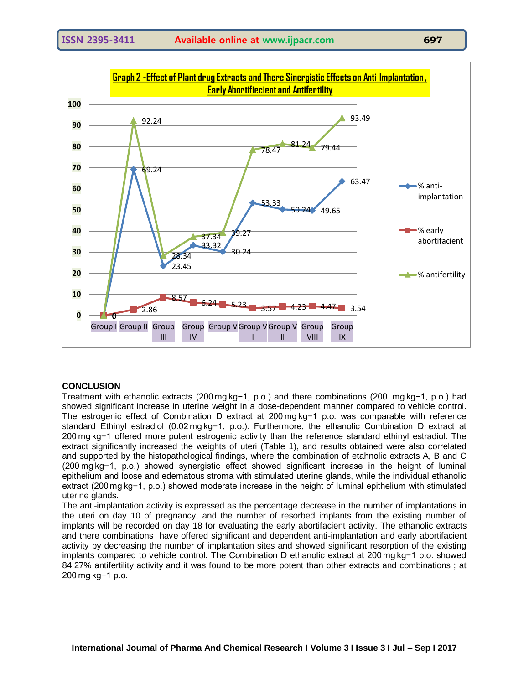

## **CONCLUSION**

Treatment with ethanolic extracts (200 mg kg−1, p.o.) and there combinations (200  mg kg−1, p.o.) had showed significant increase in uterine weight in a dose-dependent manner compared to vehicle control. The estrogenic effect of Combination D extract at 200 mg kg−1 p.o. was comparable with reference standard Ethinyl estradiol (0.02 mg kg−1, p.o.). Furthermore, the ethanolic Combination D extract at 200 mg kg−1 offered more potent estrogenic activity than the reference standard ethinyl estradiol. The extract significantly increased the weights of uteri (Table 1), and results obtained were also correlated and supported by the histopathological findings, where the combination of etahnolic extracts A, B and C (200 mg kg−1, p.o.) showed synergistic effect showed significant increase in the height of luminal epithelium and loose and edematous stroma with stimulated uterine glands, while the individual ethanolic extract (200 mg kg−1, p.o.) showed moderate increase in the height of luminal epithelium with stimulated uterine glands.

The anti-implantation activity is expressed as the percentage decrease in the number of implantations in the uteri on day 10 of pregnancy, and the number of resorbed implants from the existing number of implants will be recorded on day 18 for evaluating the early abortifacient activity. The ethanolic extracts and there combinations have offered significant and dependent anti-implantation and early abortifacient activity by decreasing the number of implantation sites and showed significant resorption of the existing implants compared to vehicle control. The Combination D ethanolic extract at 200 mg kg−1 p.o. showed 84.27% antifertility activity and it was found to be more potent than other extracts and combinations ; at 200 mg kg−1 p.o.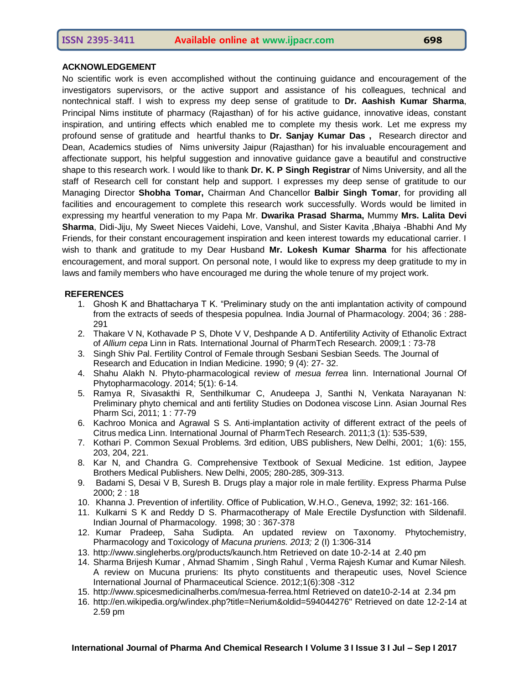#### **ACKNOWLEDGEMENT**

No scientific work is even accomplished without the continuing guidance and encouragement of the investigators supervisors, or the active support and assistance of his colleagues, technical and nontechnical staff. I wish to express my deep sense of gratitude to **Dr. Aashish Kumar Sharma**, Principal Nims institute of pharmacy (Rajasthan) of for his active guidance, innovative ideas, constant inspiration, and untiring effects which enabled me to complete my thesis work. Let me express my profound sense of gratitude and heartful thanks to **Dr. Sanjay Kumar Das ,** Research director and Dean, Academics studies of Nims university Jaipur (Rajasthan) for his invaluable encouragement and affectionate support, his helpful suggestion and innovative guidance gave a beautiful and constructive shape to this research work. I would like to thank **Dr. K. P Singh Registrar** of Nims University, and all the staff of Research cell for constant help and support. I expresses my deep sense of gratitude to our Managing Director **Shobha Tomar,** Chairman And Chancellor **Balbir Singh Tomar**, for providing all facilities and encouragement to complete this research work successfully. Words would be limited in expressing my heartful veneration to my Papa Mr. **Dwarika Prasad Sharma,** Mummy **Mrs. Lalita Devi Sharma**, Didi-Jiju, My Sweet Nieces Vaidehi, Love, Vanshul, and Sister Kavita ,Bhaiya -Bhabhi And My Friends, for their constant encouragement inspiration and keen interest towards my educational carrier. I wish to thank and gratitude to my Dear Husband **Mr. Lokesh Kumar Sharma** for his affectionate encouragement, and moral support. On personal note, I would like to express my deep gratitude to my in laws and family members who have encouraged me during the whole tenure of my project work.

#### **REFERENCES**

- 1. Ghosh K and Bhattacharya T K. "Preliminary study on the anti implantation activity of compound from the extracts of seeds of thespesia populnea. India Journal of Pharmacology. 2004; 36 : 288- 291
- 2. Thakare V N, Kothavade P S, Dhote V V, Deshpande A D. Antifertility Activity of Ethanolic Extract of *Allium cepa* Linn in Rats. International Journal of PharmTech Research. 2009;1 : 73-78
- 3. Singh Shiv Pal. Fertility Control of Female through Sesbani Sesbian Seeds. The Journal of Research and Education in Indian Medicine. 1990; 9 (4): 27- 32.
- 4. Shahu Alakh N. Phyto-pharmacological review of *mesua ferrea* linn. International Journal Of Phytopharmacology. 2014; 5(1): 6-14*.*
- 5. Ramya R, Sivasakthi R, Senthilkumar C, Anudeepa J, Santhi N, Venkata Narayanan N: Preliminary phyto chemical and anti fertility Studies on Dodonea viscose Linn. Asian Journal Res Pharm Sci, 2011; 1 : 77-79
- 6. Kachroo Monica and Agrawal S S. Anti-implantation activity of different extract of the peels of Citrus medica Linn. International Journal of PharmTech Research. 2011;3 (1): 535-539,
- 7. Kothari P. Common Sexual Problems. 3rd edition, UBS publishers, New Delhi, 2001; 1(6): 155, 203, 204, 221.
- 8. Kar N, and Chandra G. Comprehensive Textbook of Sexual Medicine. 1st edition, Jaypee Brothers Medical Publishers. New Delhi, 2005; 280-285, 309-313.
- 9. Badami S, Desai V B, Suresh B. Drugs play a major role in male fertility. Express Pharma Pulse 2000; 2 : 18
- 10. Khanna J. Prevention of infertility. Office of Publication, W.H.O., Geneva, 1992; 32: 161-166.
- 11. Kulkarni S K and Reddy D S. Pharmacotherapy of Male Erectile Dysfunction with Sildenafil. Indian Journal of Pharmacology. 1998; 30 : 367-378
- 12. Kumar Pradeep, Saha Sudipta. An updated review on Taxonomy. Phytochemistry, Pharmacology and Toxicology of *Macuna pruriens. 2013;* 2 (I) 1:306-314
- 13. http://www.singleherbs.org/products/kaunch.htm Retrieved on date 10-2-14 at 2.40 pm
- 14. Sharma Brijesh Kumar , Ahmad Shamim , Singh Rahul , Verma Rajesh Kumar and Kumar Nilesh. A review on Mucuna pruriens: Its phyto constituents and therapeutic uses, Novel Science International Journal of Pharmaceutical Science. 2012;1(6):308 -312
- 15. http://www.spicesmedicinalherbs.com/mesua-ferrea.html Retrieved on date10-2-14 at 2.34 pm
- 16. http://en.wikipedia.org/w/index.php?title=Nerium&oldid=594044276" Retrieved on date 12-2-14 at 2.59 pm